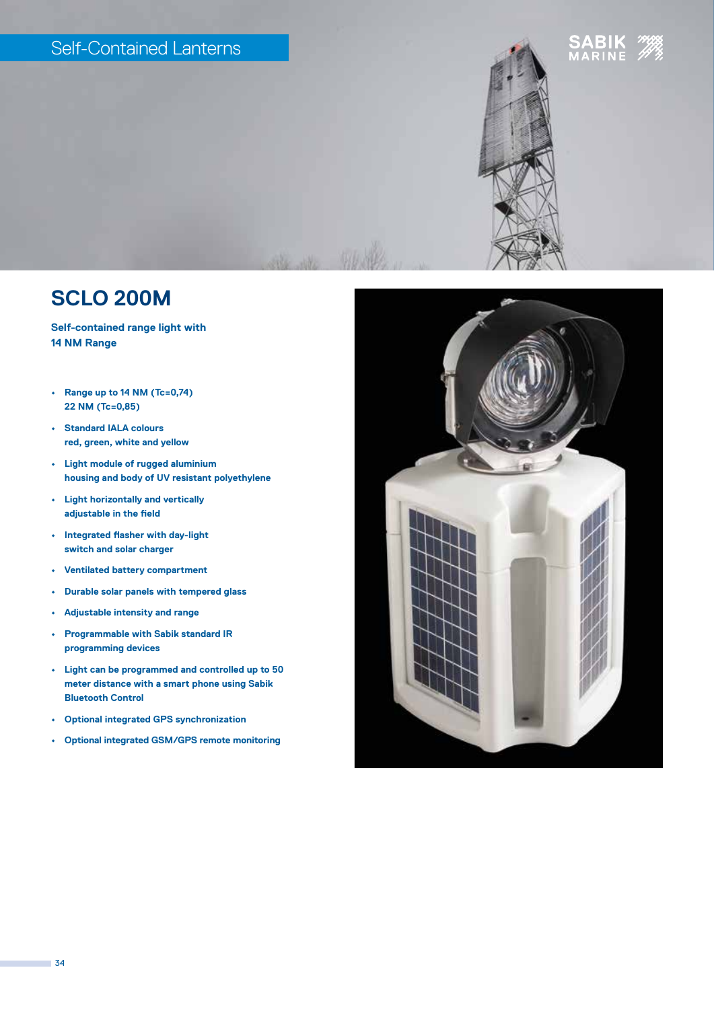## Self-Contained Lanterns





**Self-contained range light with 14 NM Range**

- **• Range up to 14 NM (Tc=0,74) 22 NM (Tc=0,85)**
- **• Standard IALA colours red, green, white and yellow**
- **• Light module of rugged aluminium housing and body of UV resistant polyethylene**
- **• Light horizontally and vertically adjustable in the field**
- **• Integrated flasher with day-light switch and solar charger**
- **• Ventilated battery compartment**
- **• Durable solar panels with tempered glass**
- **• Adjustable intensity and range**
- **• Programmable with Sabik standard IR programming devices**
- **• Light can be programmed and controlled up to 50 meter distance with a smart phone using Sabik Bluetooth Control**
- **• Optional integrated GPS synchronization**
- **• Optional integrated GSM/GPS remote monitoring**